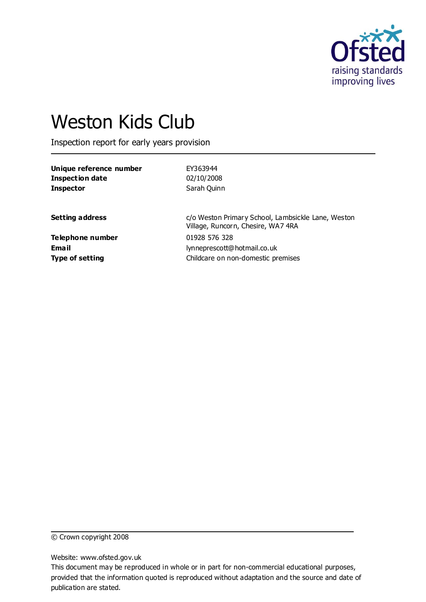

# Weston Kids Club

Inspection report for early years provision

| Unique reference number | EY363944                                                                                 |
|-------------------------|------------------------------------------------------------------------------------------|
| Inspection date         | 02/10/2008                                                                               |
| <b>Inspector</b>        | Sarah Quinn                                                                              |
| <b>Setting address</b>  | c/o Weston Primary School, Lambsickle Lane, Weston<br>Village, Runcorn, Chesire, WA7 4RA |
| Telephone number        | 01928 576 328                                                                            |
| Email                   | lynneprescott@hotmail.co.uk                                                              |
| <b>Type of setting</b>  | Childcare on non-domestic premises                                                       |

© Crown copyright 2008

Website: www.ofsted.gov.uk

This document may be reproduced in whole or in part for non-commercial educational purposes, provided that the information quoted is reproduced without adaptation and the source and date of publication are stated.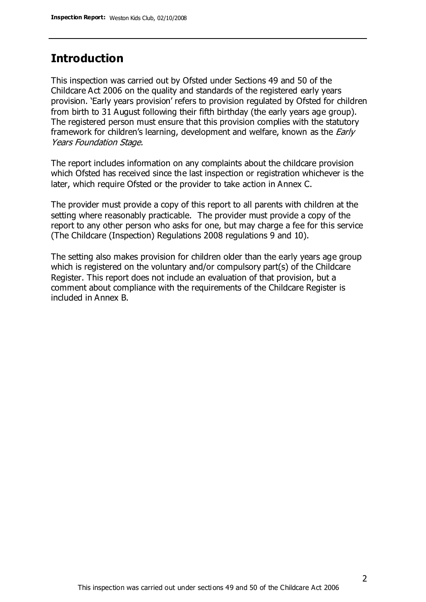### **Introduction**

This inspection was carried out by Ofsted under Sections 49 and 50 of the Childcare Act 2006 on the quality and standards of the registered early years provision. 'Early years provision' refers to provision regulated by Ofsted for children from birth to 31 August following their fifth birthday (the early years age group). The registered person must ensure that this provision complies with the statutory framework for children's learning, development and welfare, known as the *Early* Years Foundation Stage.

The report includes information on any complaints about the childcare provision which Ofsted has received since the last inspection or registration whichever is the later, which require Ofsted or the provider to take action in Annex C.

The provider must provide a copy of this report to all parents with children at the setting where reasonably practicable. The provider must provide a copy of the report to any other person who asks for one, but may charge a fee for this service (The Childcare (Inspection) Regulations 2008 regulations 9 and 10).

The setting also makes provision for children older than the early years age group which is registered on the voluntary and/or compulsory part(s) of the Childcare Register. This report does not include an evaluation of that provision, but a comment about compliance with the requirements of the Childcare Register is included in Annex B.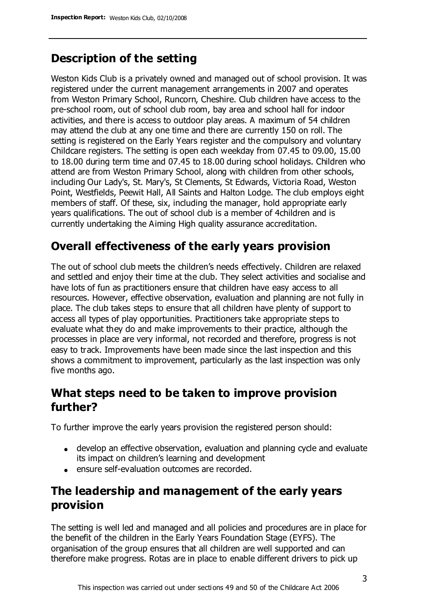### **Description of the setting**

Weston Kids Club is a privately owned and managed out of school provision. It was registered under the current management arrangements in 2007 and operates from Weston Primary School, Runcorn, Cheshire. Club children have access to the pre-school room, out of school club room, bay area and school hall for indoor activities, and there is access to outdoor play areas. A maximum of 54 children may attend the club at any one time and there are currently 150 on roll. The setting is registered on the Early Years register and the compulsory and voluntary Childcare registers. The setting is open each weekday from 07.45 to 09.00, 15.00 to 18.00 during term time and 07.45 to 18.00 during school holidays. Children who attend are from Weston Primary School, along with children from other schools, including Our Lady's, St. Mary's, St Clements, St Edwards, Victoria Road, Weston Point, Westfields, Peewit Hall, All Saints and Halton Lodge. The club employs eight members of staff. Of these, six, including the manager, hold appropriate early years qualifications. The out of school club is a member of 4children and is currently undertaking the Aiming High quality assurance accreditation.

### **Overall effectiveness of the early years provision**

The out of school club meets the children's needs effectively. Children are relaxed and settled and enjoy their time at the club. They select activities and socialise and have lots of fun as practitioners ensure that children have easy access to all resources. However, effective observation, evaluation and planning are not fully in place. The club takes steps to ensure that all children have plenty of support to access all types of play opportunities. Practitioners take appropriate steps to evaluate what they do and make improvements to their practice, although the processes in place are very informal, not recorded and therefore, progress is not easy to track. Improvements have been made since the last inspection and this shows a commitment to improvement, particularly as the last inspection was only five months ago.

### **What steps need to be taken to improve provision further?**

To further improve the early years provision the registered person should:

- develop an effective observation, evaluation and planning cycle and evaluate its impact on children's learning and development
- ensure self-evaluation outcomes are recorded.

### **The leadership and management of the early years provision**

The setting is well led and managed and all policies and procedures are in place for the benefit of the children in the Early Years Foundation Stage (EYFS). The organisation of the group ensures that all children are well supported and can therefore make progress. Rotas are in place to enable different drivers to pick up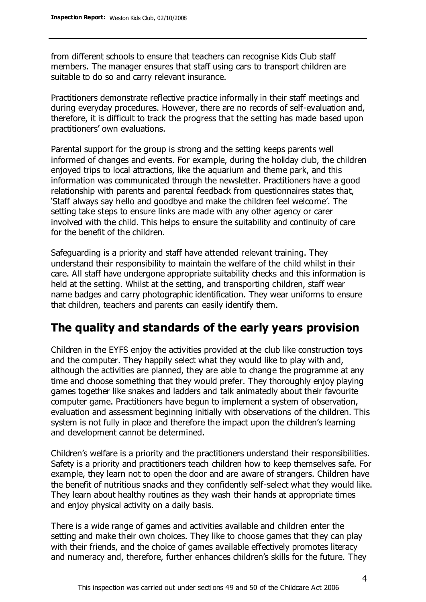from different schools to ensure that teachers can recognise Kids Club staff members. The manager ensures that staff using cars to transport children are suitable to do so and carry relevant insurance.

Practitioners demonstrate reflective practice informally in their staff meetings and during everyday procedures. However, there are no records of self-evaluation and, therefore, it is difficult to track the progress that the setting has made based upon practitioners' own evaluations.

Parental support for the group is strong and the setting keeps parents well informed of changes and events. For example, during the holiday club, the children enjoyed trips to local attractions, like the aquarium and theme park, and this information was communicated through the newsletter. Practitioners have a good relationship with parents and parental feedback from questionnaires states that, 'Staff always say hello and goodbye and make the children feel welcome'. The setting take steps to ensure links are made with any other agency or carer involved with the child. This helps to ensure the suitability and continuity of care for the benefit of the children.

Safeguarding is a priority and staff have attended relevant training. They understand their responsibility to maintain the welfare of the child whilst in their care. All staff have undergone appropriate suitability checks and this information is held at the setting. Whilst at the setting, and transporting children, staff wear name badges and carry photographic identification. They wear uniforms to ensure that children, teachers and parents can easily identify them.

### **The quality and standards of the early years provision**

Children in the EYFS enjoy the activities provided at the club like construction toys and the computer. They happily select what they would like to play with and, although the activities are planned, they are able to change the programme at any time and choose something that they would prefer. They thoroughly enjoy playing games together like snakes and ladders and talk animatedly about their favourite computer game. Practitioners have begun to implement a system of observation, evaluation and assessment beginning initially with observations of the children. This system is not fully in place and therefore the impact upon the children's learning and development cannot be determined.

Children's welfare is a priority and the practitioners understand their responsibilities. Safety is a priority and practitioners teach children how to keep themselves safe. For example, they learn not to open the door and are aware of strangers. Children have the benefit of nutritious snacks and they confidently self-select what they would like. They learn about healthy routines as they wash their hands at appropriate times and enjoy physical activity on a daily basis.

There is a wide range of games and activities available and children enter the setting and make their own choices. They like to choose games that they can play with their friends, and the choice of games available effectively promotes literacy and numeracy and, therefore, further enhances children's skills for the future. They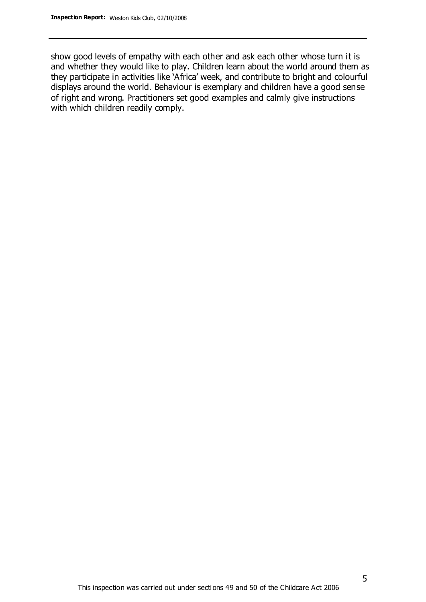show good levels of empathy with each other and ask each other whose turn it is and whether they would like to play. Children learn about the world around them as they participate in activities like 'Africa' week, and contribute to bright and colourful displays around the world. Behaviour is exemplary and children have a good sense of right and wrong. Practitioners set good examples and calmly give instructions with which children readily comply.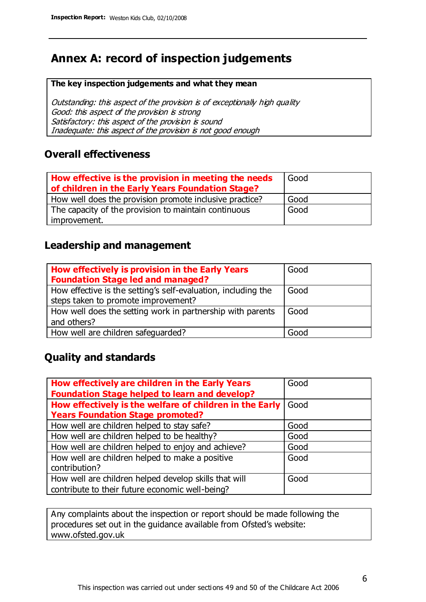# **Annex A: record of inspection judgements**

#### **The key inspection judgements and what they mean**

Outstanding: this aspect of the provision is of exceptionally high quality Good: this aspect of the provision is strong Satisfactory: this aspect of the provision is sound Inadequate: this aspect of the provision is not good enough

### **Overall effectiveness**

| How effective is the provision in meeting the needs<br>of children in the Early Years Foundation Stage? | Good |
|---------------------------------------------------------------------------------------------------------|------|
| How well does the provision promote inclusive practice?                                                 | Good |
| The capacity of the provision to maintain continuous                                                    | Good |
| improvement.                                                                                            |      |

### **Leadership and management**

| How effectively is provision in the Early Years<br><b>Foundation Stage led and managed?</b>          | Good |
|------------------------------------------------------------------------------------------------------|------|
| How effective is the setting's self-evaluation, including the<br>steps taken to promote improvement? | Good |
| How well does the setting work in partnership with parents<br>and others?                            | Good |
| How well are children safeguarded?                                                                   | Good |

### **Quality and standards**

| How effectively are children in the Early Years         | Good |
|---------------------------------------------------------|------|
| <b>Foundation Stage helped to learn and develop?</b>    |      |
| How effectively is the welfare of children in the Early | Good |
| <b>Years Foundation Stage promoted?</b>                 |      |
| How well are children helped to stay safe?              | Good |
| How well are children helped to be healthy?             | Good |
| How well are children helped to enjoy and achieve?      | Good |
| How well are children helped to make a positive         | Good |
| contribution?                                           |      |
| How well are children helped develop skills that will   | Good |
| contribute to their future economic well-being?         |      |

Any complaints about the inspection or report should be made following the procedures set out in the guidance available from Ofsted's website: www.ofsted.gov.uk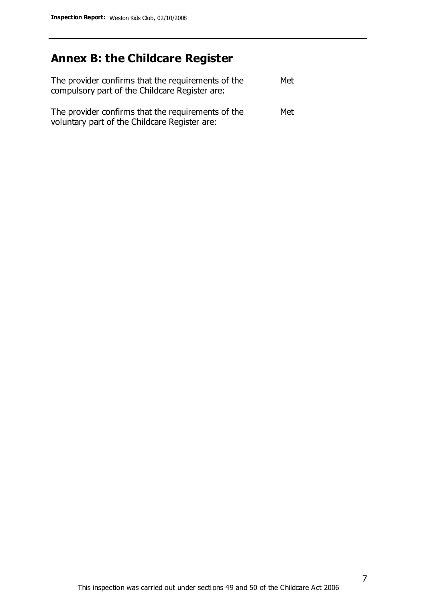# **Annex B: the Childcare Register**

| The provider confirms that the requirements of the<br>compulsory part of the Childcare Register are: | Met |
|------------------------------------------------------------------------------------------------------|-----|
| The provider confirms that the requirements of the<br>voluntary part of the Childcare Register are:  | Met |